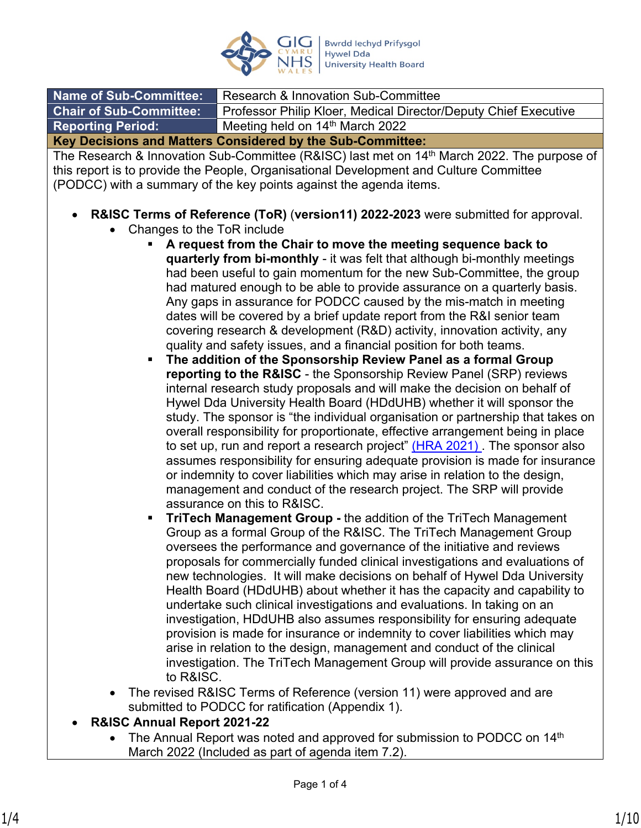

| <b>Name of Sub-Committee:</b>                              | Research & Innovation Sub-Committee                             |  |  |  |
|------------------------------------------------------------|-----------------------------------------------------------------|--|--|--|
| <b>Chair of Sub-Committee:</b>                             | Professor Philip Kloer, Medical Director/Deputy Chief Executive |  |  |  |
| <b>Reporting Period:</b>                                   | Meeting held on 14th March 2022                                 |  |  |  |
| Key Decisions and Matters Considered by the Sub-Committee: |                                                                 |  |  |  |

The Research & Innovation Sub-Committee (R&ISC) last met on 14<sup>th</sup> March 2022. The purpose of this report is to provide the People, Organisational Development and Culture Committee (PODCC) with a summary of the key points against the agenda items.

## **R&ISC Terms of Reference (ToR)** (**version11) 2022-2023** were submitted for approval.

- Changes to the ToR include
	- **A request from the Chair to move the meeting sequence back to quarterly from bi-monthly** - it was felt that although bi-monthly meetings had been useful to gain momentum for the new Sub-Committee, the group had matured enough to be able to provide assurance on a quarterly basis. Any gaps in assurance for PODCC caused by the mis-match in meeting dates will be covered by a brief update report from the R&I senior team covering research & development (R&D) activity, innovation activity, any quality and safety issues, and a financial position for both teams.
	- **The addition of the Sponsorship Review Panel as a formal Group reporting to the R&ISC** - the Sponsorship Review Panel (SRP) reviews internal research study proposals and will make the decision on behalf of Hywel Dda University Health Board (HDdUHB) whether it will sponsor the study. The sponsor is "the individual organisation or partnership that takes on overall responsibility for proportionate, effective arrangement being in place to set up, run and report a research project" (HRA 2021). The sponsor also assumes responsibility for ensuring adequate provision is made for insurance or indemnity to cover liabilities which may arise in relation to the design, management and conduct of the research project. The SRP will provide assurance on this to R&ISC.
	- **TriTech Management Group -** the addition of the TriTech Management Group as a formal Group of the R&ISC. The TriTech Management Group oversees the performance and governance of the initiative and reviews proposals for commercially funded clinical investigations and evaluations of new technologies. It will make decisions on behalf of Hywel Dda University Health Board (HDdUHB) about whether it has the capacity and capability to undertake such clinical investigations and evaluations. In taking on an investigation, HDdUHB also assumes responsibility for ensuring adequate provision is made for insurance or indemnity to cover liabilities which may arise in relation to the design, management and conduct of the clinical investigation. The TriTech Management Group will provide assurance on this to R&ISC.
- The revised R&ISC Terms of Reference (version 11) were approved and are submitted to PODCC for ratification (Appendix 1).
- **R&ISC Annual Report 2021-22**
	- The Annual Report was noted and approved for submission to PODCC on 14th March 2022 (Included as part of agenda item 7.2).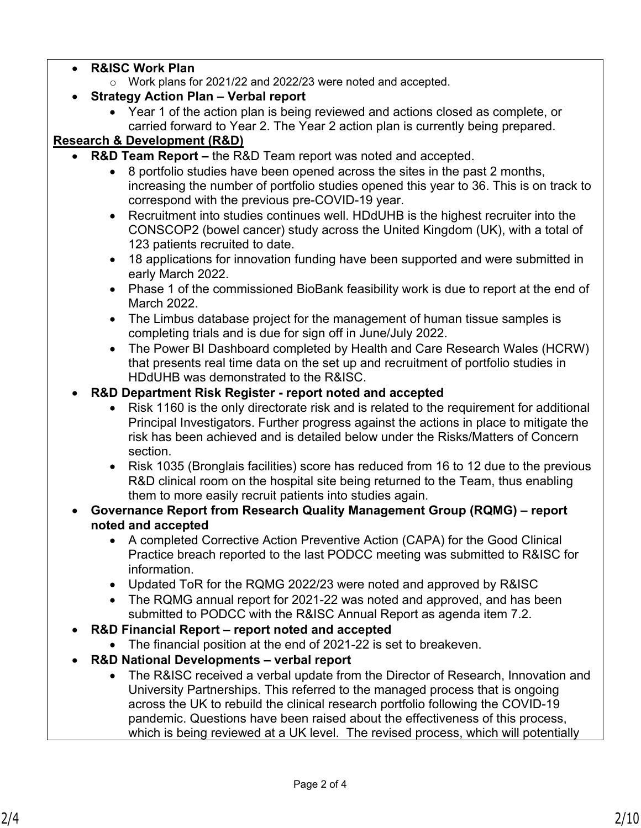- **R&ISC Work Plan**
	- o Work plans for 2021/22 and 2022/23 were noted and accepted.

# **Strategy Action Plan – Verbal report**

 Year 1 of the action plan is being reviewed and actions closed as complete, or carried forward to Year 2. The Year 2 action plan is currently being prepared.

# **Research & Development (R&D)**

- **R&D Team Report** the R&D Team report was noted and accepted.
	- 8 portfolio studies have been opened across the sites in the past 2 months, increasing the number of portfolio studies opened this year to 36. This is on track to correspond with the previous pre-COVID-19 year.
	- Recruitment into studies continues well. HDdUHB is the highest recruiter into the CONSCOP2 (bowel cancer) study across the United Kingdom (UK), with a total of 123 patients recruited to date.
	- 18 applications for innovation funding have been supported and were submitted in early March 2022.
	- Phase 1 of the commissioned BioBank feasibility work is due to report at the end of March 2022.
	- The Limbus database project for the management of human tissue samples is completing trials and is due for sign off in June/July 2022.
	- The Power BI Dashboard completed by Health and Care Research Wales (HCRW) that presents real time data on the set up and recruitment of portfolio studies in HDdUHB was demonstrated to the R&ISC.
	- **R&D Department Risk Register report noted and accepted**
		- Risk 1160 is the only directorate risk and is related to the requirement for additional Principal Investigators. Further progress against the actions in place to mitigate the risk has been achieved and is detailed below under the Risks/Matters of Concern section.
		- Risk 1035 (Bronglais facilities) score has reduced from 16 to 12 due to the previous R&D clinical room on the hospital site being returned to the Team, thus enabling them to more easily recruit patients into studies again.
	- **Governance Report from Research Quality Management Group (RQMG) report noted and accepted**
		- A completed Corrective Action Preventive Action (CAPA) for the Good Clinical Practice breach reported to the last PODCC meeting was submitted to R&ISC for information.
		- Updated ToR for the RQMG 2022/23 were noted and approved by R&ISC
		- The RQMG annual report for 2021-22 was noted and approved, and has been submitted to PODCC with the R&ISC Annual Report as agenda item 7.2.
- **R&D Financial Report report noted and accepted**
	- The financial position at the end of 2021-22 is set to breakeven.
- **R&D National Developments verbal report**
	- The R&ISC received a verbal update from the Director of Research, Innovation and University Partnerships. This referred to the managed process that is ongoing across the UK to rebuild the clinical research portfolio following the COVID-19 pandemic. Questions have been raised about the effectiveness of this process, which is being reviewed at a UK level. The revised process, which will potentially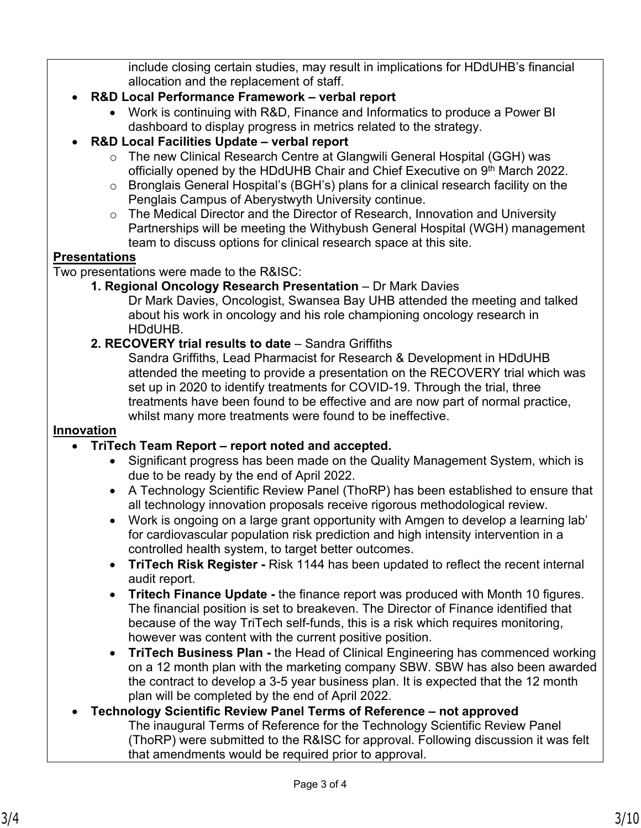include closing certain studies, may result in implications for HDdUHB's financial allocation and the replacement of staff.

- **R&D Local Performance Framework verbal report** 
	- Work is continuing with R&D, Finance and Informatics to produce a Power BI dashboard to display progress in metrics related to the strategy.
- **R&D Local Facilities Update verbal report** 
	- o The new Clinical Research Centre at Glangwili General Hospital (GGH) was officially opened by the HDdUHB Chair and Chief Executive on 9<sup>th</sup> March 2022.
	- o Bronglais General Hospital's (BGH's) plans for a clinical research facility on the Penglais Campus of Aberystwyth University continue.
	- o The Medical Director and the Director of Research, Innovation and University Partnerships will be meeting the Withybush General Hospital (WGH) management team to discuss options for clinical research space at this site.

# **Presentations**

Two presentations were made to the R&ISC:

**1. Regional Oncology Research Presentation** – Dr Mark Davies

Dr Mark Davies, Oncologist, Swansea Bay UHB attended the meeting and talked about his work in oncology and his role championing oncology research in HDdUHB.

## **2. RECOVERY trial results to date** – Sandra Griffiths

Sandra Griffiths, Lead Pharmacist for Research & Development in HDdUHB attended the meeting to provide a presentation on the RECOVERY trial which was set up in 2020 to identify treatments for COVID-19. Through the trial, three treatments have been found to be effective and are now part of normal practice, whilst many more treatments were found to be ineffective.

## **Innovation**

## **TriTech Team Report – report noted and accepted.**

- Significant progress has been made on the Quality Management System, which is due to be ready by the end of April 2022.
- A Technology Scientific Review Panel (ThoRP) has been established to ensure that all technology innovation proposals receive rigorous methodological review.
- Work is ongoing on a large grant opportunity with Amgen to develop a learning lab' for cardiovascular population risk prediction and high intensity intervention in a controlled health system, to target better outcomes.
- **TriTech Risk Register** Risk 1144 has been updated to reflect the recent internal audit report.
- **Tritech Finance Update** the finance report was produced with Month 10 figures. The financial position is set to breakeven. The Director of Finance identified that because of the way TriTech self-funds, this is a risk which requires monitoring, however was content with the current positive position.
- **TriTech Business Plan** the Head of Clinical Engineering has commenced working on a 12 month plan with the marketing company SBW. SBW has also been awarded the contract to develop a 3-5 year business plan. It is expected that the 12 month plan will be completed by the end of April 2022.
- **Technology Scientific Review Panel Terms of Reference not approved** The inaugural Terms of Reference for the Technology Scientific Review Panel (ThoRP) were submitted to the R&ISC for approval. Following discussion it was felt that amendments would be required prior to approval.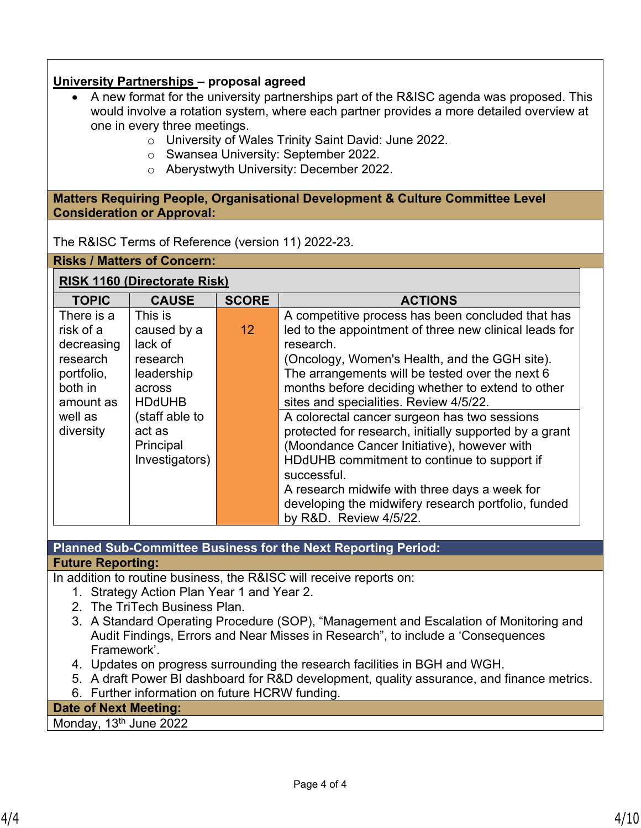## **University Partnerships – proposal agreed**

- A new format for the university partnerships part of the R&ISC agenda was proposed. This would involve a rotation system, where each partner provides a more detailed overview at one in every three meetings.
	- o University of Wales Trinity Saint David: June 2022.
	- o Swansea University: September 2022.
	- o Aberystwyth University: December 2022.

**Matters Requiring People, Organisational Development & Culture Committee Level Consideration or Approval:**

The R&ISC Terms of Reference (version 11) 2022-23.

**Risks / Matters of Concern:**

# **RISK 1160 (Directorate Risk)**

| <b>SCORE</b><br><b>TOPIC</b><br><b>CAUSE</b><br><b>ACTIONS</b> |                |                 |                                                        |  |  |
|----------------------------------------------------------------|----------------|-----------------|--------------------------------------------------------|--|--|
|                                                                |                |                 |                                                        |  |  |
| There is a                                                     | This is        |                 | A competitive process has been concluded that has      |  |  |
| risk of a                                                      | caused by a    | 12 <sup>2</sup> | led to the appointment of three new clinical leads for |  |  |
| decreasing                                                     | lack of        |                 | research.                                              |  |  |
| research                                                       | research       |                 | (Oncology, Women's Health, and the GGH site).          |  |  |
| portfolio,                                                     | leadership     |                 | The arrangements will be tested over the next 6        |  |  |
| both in                                                        | across         |                 | months before deciding whether to extend to other      |  |  |
| amount as                                                      | <b>HDdUHB</b>  |                 | sites and specialities. Review 4/5/22.                 |  |  |
| well as                                                        | (staff able to |                 | A colorectal cancer surgeon has two sessions           |  |  |
| diversity                                                      | act as         |                 | protected for research, initially supported by a grant |  |  |
|                                                                | Principal      |                 | (Moondance Cancer Initiative), however with            |  |  |
|                                                                | Investigators) |                 | HDdUHB commitment to continue to support if            |  |  |
|                                                                |                |                 | successful.                                            |  |  |
|                                                                |                |                 | A research midwife with three days a week for          |  |  |
|                                                                |                |                 | developing the midwifery research portfolio, funded    |  |  |
|                                                                |                |                 | by R&D. Review 4/5/22.                                 |  |  |

**Planned Sub-Committee Business for the Next Reporting Period:**

### **Future Reporting:**

In addition to routine business, the R&ISC will receive reports on:

- 1. Strategy Action Plan Year 1 and Year 2.
- 2. The TriTech Business Plan.
- 3. A Standard Operating Procedure (SOP), "Management and Escalation of Monitoring and Audit Findings, Errors and Near Misses in Research", to include a 'Consequences Framework'.
- 4. Updates on progress surrounding the research facilities in BGH and WGH.
- 5. A draft Power BI dashboard for R&D development, quality assurance, and finance metrics.
- 6. Further information on future HCRW funding.

**Date of Next Meeting:** 

Monday, 13<sup>th</sup> June 2022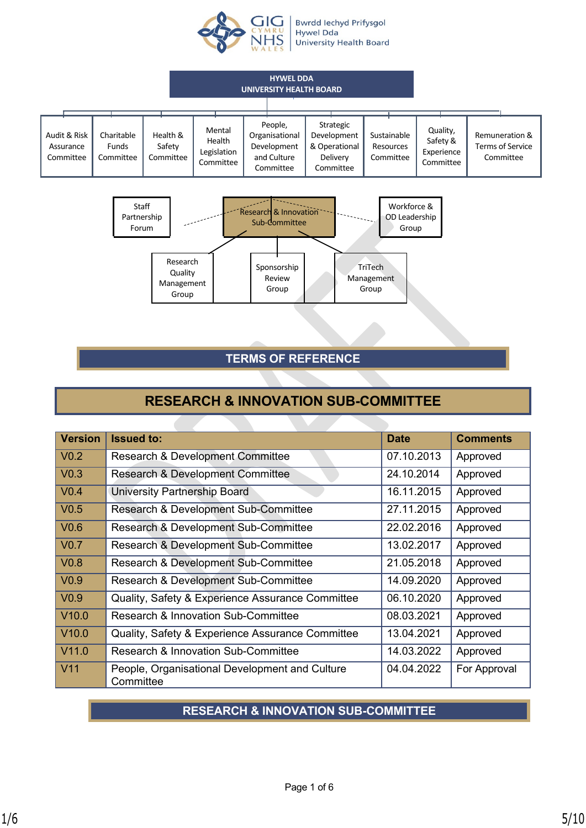

Bwrdd Iechyd Prifysgol<br>Hywel Dda **University Health Board** 





# **TERMS OF REFERENCE**

# **RESEARCH & INNOVATION SUB-COMMITTEE**

| <b>Version</b>            | <b>Issued to:</b>                                           | <b>Date</b> | <b>Comments</b> |
|---------------------------|-------------------------------------------------------------|-------------|-----------------|
| $\sqrt{0.2}$              | <b>Research &amp; Development Committee</b>                 | 07.10.2013  | Approved        |
| $\sqrt{0.3}$              | <b>Research &amp; Development Committee</b>                 | 24.10.2014  | Approved        |
| $\sqrt{0.4}$              | University Partnership Board                                | 16.11.2015  | Approved        |
| $\sqrt{0.5}$              | Research & Development Sub-Committee                        | 27.11.2015  | Approved        |
| $\sqrt{0.6}$              | Research & Development Sub-Committee                        | 22.02.2016  | Approved        |
| $\sqrt{0.7}$              | Research & Development Sub-Committee                        | 13.02.2017  | Approved        |
| $\vert$ V <sub>0.8</sub>  | Research & Development Sub-Committee                        | 21.05.2018  | Approved        |
| $\sqrt{0.9}$              | Research & Development Sub-Committee                        | 14.09.2020  | Approved        |
| $\vert$ V0.9              | Quality, Safety & Experience Assurance Committee            | 06.10.2020  | Approved        |
| $\vert$ V <sub>10.0</sub> | Research & Innovation Sub-Committee                         | 08.03.2021  | Approved        |
| $\vert$ V <sub>10.0</sub> | Quality, Safety & Experience Assurance Committee            | 13.04.2021  | Approved        |
| $\vert$ V11.0             | Research & Innovation Sub-Committee                         | 14.03.2022  | Approved        |
| V11                       | People, Organisational Development and Culture<br>Committee | 04.04.2022  | For Approval    |

# **RESEARCH & INNOVATION SUB-COMMITTEE**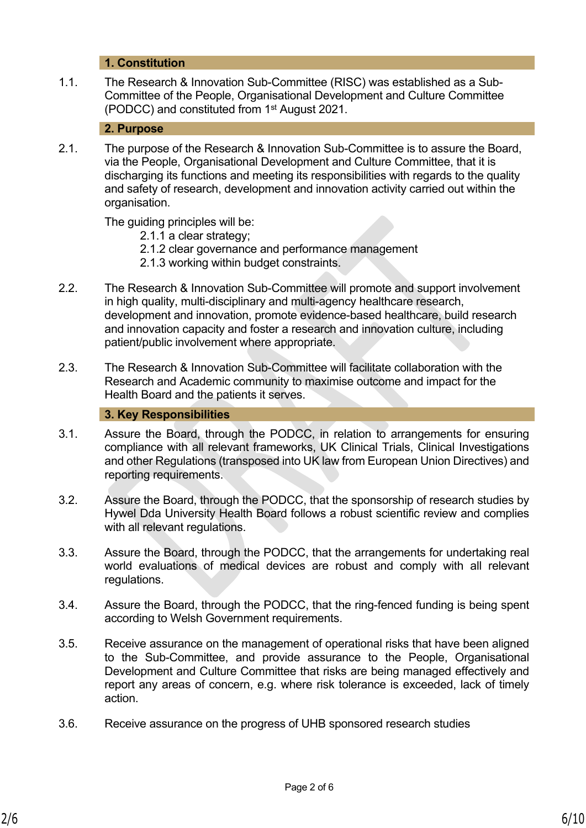## 1. **1. Constitution**

1.1. The Research & Innovation Sub-Committee (RISC) was established as a Sub-Committee of the People, Organisational Development and Culture Committee (PODCC) and constituted from 1st August 2021.

#### 2. **2. Purpose**

2.1. The purpose of the Research & Innovation Sub-Committee is to assure the Board, via the People, Organisational Development and Culture Committee, that it is discharging its functions and meeting its responsibilities with regards to the quality and safety of research, development and innovation activity carried out within the organisation.

The guiding principles will be:

- 2.1.1 a clear strategy;
- 2.1.2 clear governance and performance management
- 2.1.3 working within budget constraints.
- 2.2. The Research & Innovation Sub-Committee will promote and support involvement in high quality, multi-disciplinary and multi-agency healthcare research, development and innovation, promote evidence-based healthcare, build research and innovation capacity and foster a research and innovation culture, including patient/public involvement where appropriate.
- 2.3. The Research & Innovation Sub-Committee will facilitate collaboration with the Research and Academic community to maximise outcome and impact for the Health Board and the patients it serves.

## 3. **3. Key Responsibilities**

- 3.1. Assure the Board, through the PODCC, in relation to arrangements for ensuring compliance with all relevant frameworks, UK Clinical Trials, Clinical Investigations and other Regulations (transposed into UK law from European Union Directives) and reporting requirements.
- 3.2. Assure the Board, through the PODCC, that the sponsorship of research studies by Hywel Dda University Health Board follows a robust scientific review and complies with all relevant regulations.
- 3.3. Assure the Board, through the PODCC, that the arrangements for undertaking real world evaluations of medical devices are robust and comply with all relevant regulations.
- 3.4. Assure the Board, through the PODCC, that the ring-fenced funding is being spent according to Welsh Government requirements.
- 3.5. Receive assurance on the management of operational risks that have been aligned to the Sub-Committee, and provide assurance to the People, Organisational Development and Culture Committee that risks are being managed effectively and report any areas of concern, e.g. where risk tolerance is exceeded, lack of timely action.
- 3.6. Receive assurance on the progress of UHB sponsored research studies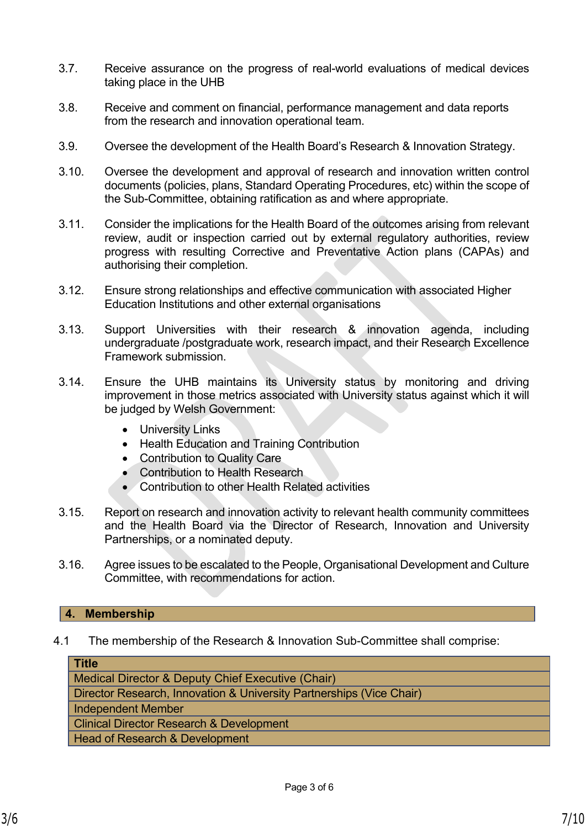- 3.7. Receive assurance on the progress of real-world evaluations of medical devices taking place in the UHB
- 3.8. Receive and comment on financial, performance management and data reports from the research and innovation operational team.
- 3.9. Oversee the development of the Health Board's Research & Innovation Strategy.
- 3.10. Oversee the development and approval of research and innovation written control documents (policies, plans, Standard Operating Procedures, etc) within the scope of the Sub-Committee, obtaining ratification as and where appropriate.
- 3.11. Consider the implications for the Health Board of the outcomes arising from relevant review, audit or inspection carried out by external regulatory authorities, review progress with resulting Corrective and Preventative Action plans (CAPAs) and authorising their completion.
- 3.12. Ensure strong relationships and effective communication with associated Higher Education Institutions and other external organisations
- 3.13. Support Universities with their research & innovation agenda, including undergraduate /postgraduate work, research impact, and their Research Excellence Framework submission.
- 3.14. Ensure the UHB maintains its University status by monitoring and driving improvement in those metrics associated with University status against which it will be judged by Welsh Government:
	- University Links
	- Health Education and Training Contribution
	- Contribution to Quality Care
	- Contribution to Health Research
	- Contribution to other Health Related activities
- 3.15. Report on research and innovation activity to relevant health community committees and the Health Board via the Director of Research, Innovation and University Partnerships, or a nominated deputy.
- 3.16. Agree issues to be escalated to the People, Organisational Development and Culture Committee, with recommendations for action.

### **4. Membership**

4.1 The membership of the Research & Innovation Sub-Committee shall comprise:

**Title**

Medical Director & Deputy Chief Executive (Chair)

Director Research, Innovation & University Partnerships (Vice Chair)

Independent Member

Clinical Director Research & Development

Head of Research & Development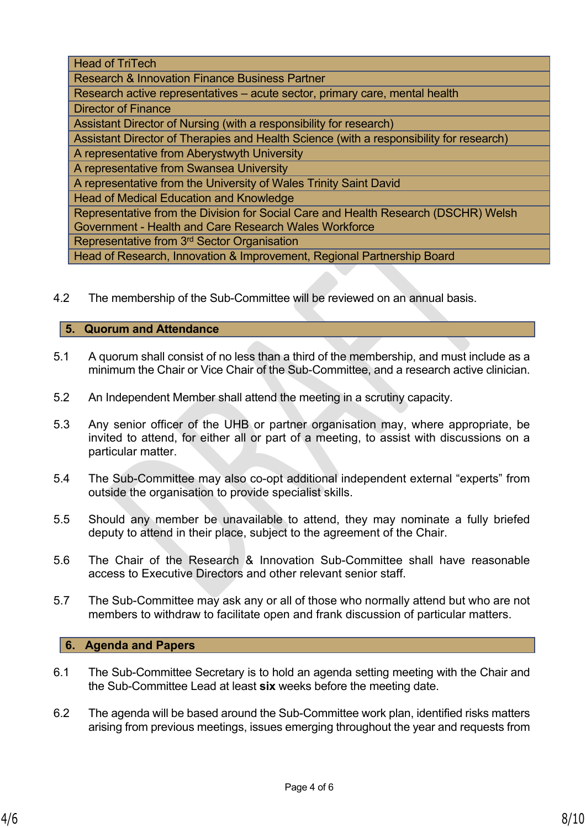Head of TriTech

Research & Innovation Finance Business Partner

Research active representatives – acute sector, primary care, mental health Director of Finance

Assistant Director of Nursing (with a responsibility for research)

Assistant Director of Therapies and Health Science (with a responsibility for research)

A representative from Aberystwyth University

A representative from Swansea University

A representative from the University of Wales Trinity Saint David

Head of Medical Education and Knowledge

Representative from the Division for Social Care and Health Research (DSCHR) Welsh Government - Health and Care Research Wales Workforce

Representative from 3rd Sector Organisation

Head of Research, Innovation & Improvement, Regional Partnership Board

4.2 The membership of the Sub-Committee will be reviewed on an annual basis.

#### **5. Quorum and Attendance**

- 5.1 A quorum shall consist of no less than a third of the membership, and must include as a minimum the Chair or Vice Chair of the Sub-Committee, and a research active clinician.
- 5.2 An Independent Member shall attend the meeting in a scrutiny capacity.
- 5.3 Any senior officer of the UHB or partner organisation may, where appropriate, be invited to attend, for either all or part of a meeting, to assist with discussions on a particular matter.
- 5.4 The Sub-Committee may also co-opt additional independent external "experts" from outside the organisation to provide specialist skills.
- 5.5 Should any member be unavailable to attend, they may nominate a fully briefed deputy to attend in their place, subject to the agreement of the Chair.
- 5.6 The Chair of the Research & Innovation Sub-Committee shall have reasonable access to Executive Directors and other relevant senior staff.
- 5.7 The Sub-Committee may ask any or all of those who normally attend but who are not members to withdraw to facilitate open and frank discussion of particular matters.

### **6. Agenda and Papers**

- 6.1 The Sub-Committee Secretary is to hold an agenda setting meeting with the Chair and the Sub-Committee Lead at least **six** weeks before the meeting date.
- 6.2 The agenda will be based around the Sub-Committee work plan, identified risks matters arising from previous meetings, issues emerging throughout the year and requests from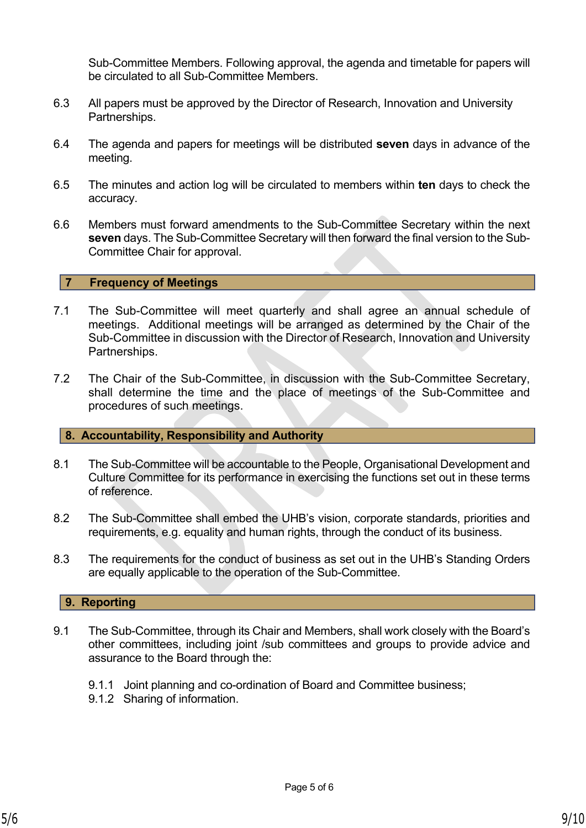Sub-Committee Members. Following approval, the agenda and timetable for papers will be circulated to all Sub-Committee Members.

- 6.3 All papers must be approved by the Director of Research, Innovation and University Partnerships.
- 6.4 The agenda and papers for meetings will be distributed **seven** days in advance of the meeting.
- 6.5 The minutes and action log will be circulated to members within **ten** days to check the accuracy.
- 6.6 Members must forward amendments to the Sub-Committee Secretary within the next **seven** days. The Sub-Committee Secretary will then forward the final version to the Sub-Committee Chair for approval.

#### **7 Frequency of Meetings**

- 7.1 The Sub-Committee will meet quarterly and shall agree an annual schedule of meetings. Additional meetings will be arranged as determined by the Chair of the Sub-Committee in discussion with the Director of Research, Innovation and University Partnerships.
- 7.2 The Chair of the Sub-Committee, in discussion with the Sub-Committee Secretary, shall determine the time and the place of meetings of the Sub-Committee and procedures of such meetings.

#### **8. Accountability, Responsibility and Authority**

- 8.1 The Sub-Committee will be accountable to the People, Organisational Development and Culture Committee for its performance in exercising the functions set out in these terms of reference.
- 8.2 The Sub-Committee shall embed the UHB's vision, corporate standards, priorities and requirements, e.g. equality and human rights, through the conduct of its business.
- 8.3 The requirements for the conduct of business as set out in the UHB's Standing Orders are equally applicable to the operation of the Sub-Committee.

#### **9. Reporting**

- 9.1 The Sub-Committee, through its Chair and Members, shall work closely with the Board's other committees, including joint /sub committees and groups to provide advice and assurance to the Board through the:
	- 9.1.1 Joint planning and co-ordination of Board and Committee business;
	- 9.1.2 Sharing of information.